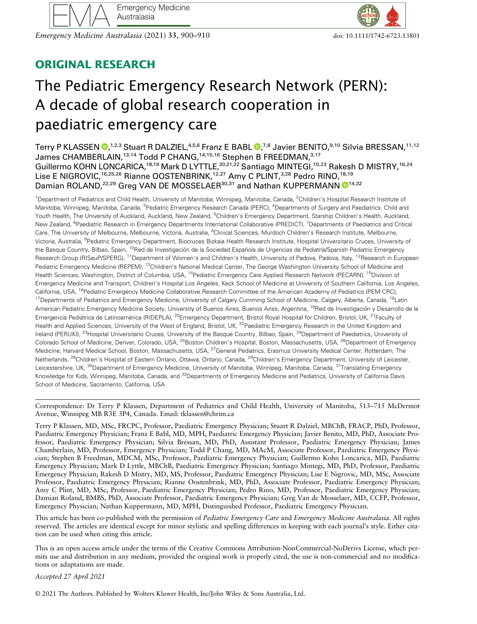Emergency Medicine Australasia (2021) 33, 900–910 doi: 10.1111/1742-6723.13801



# ORIGINAL RESEARCH

# The Pediatric Emergency Research Network (PERN): A decade of global research cooperation in paediatric emergency care

Terry P KLASSEN ®[,](https://orcid.org/0000-0002-1107-2187)<sup>1,2,3</sup> Stuart R DALZIEL,<sup>4,5,6</sup> Franz E BABL ®,<sup>7,8</sup> Javier BENITO,<sup>9,10</sup> Silvia BRESSAN,<sup>11,12</sup> James CHAMBERLAIN,<sup>13,14</sup> Todd P CHANG,<sup>14,15,16</sup> Stephen B FREEDMAN,<sup>3,17</sup> Guillermo KOHN LONCARICA,<sup>18,19</sup> Mark D LYTTLE,<sup>20,21,22</sup> Santiago MINTEGI,<sup>10,23</sup> Rakesh D MISTRY,<sup>16,24</sup> Lise E NIGROVIC,<sup>16,25,26</sup> Rianne OOSTENBRINK,<sup>12,27</sup> Amy C PLINT,<sup>3,28</sup> Pedro RINO,<sup>18,19</sup> Damian ROLAND,<sup>22,29</sup> Greg VAN DE MOSSELAER<sup>30,31</sup> and Nathan KUPPERMANN <sup>14,32</sup>

<sup>1</sup>Department of Pediatrics and Child Health, University of Manitoba, Winnipeg, Manitoba, Canada, <sup>2</sup>Children's Hospital Research Institute of Manitoba, Winnipeg, Manitoba, Canada, <sup>3</sup>Pediatric Emergency Research Canada (PERC), <sup>4</sup>Departments of Surgery and Paediatrics: Child and Youth Health, The University of Auckland, Auckland, New Zealand, <sup>5</sup>Children's Emergency Department, Starship Children's Health, Auckland, New Zealand, <sup>6</sup>Paediatric Research in Emergency Departments International Collaborative (PREDICT), <sup>7</sup>Departments of Paediatrics and Critical Care, The University of Melbourne, Melbourne, Victoria, Australia, <sup>8</sup>Clinical Sciences, Murdoch Children's Research Institute, Melbourne, Victoria, Australia, <sup>9</sup>Pediatric Emergency Department, Biocruces Bizkaia Health Research Institute, Hospital Universitario Cruces, University of the Basque Country, Bilbao, Spain, <sup>10</sup>Red de Investigación de la Sociedad Española de Urgencias de Pediatría/Spanish Pediatric Emergency Research Group (RISeuP/SPERG), <sup>11</sup>Department of Women's and Children's Health, University of Padova, Padova, Italy, <sup>12</sup>Research in European Pediatric Emergency Medicine (REPEM), 13Children's National Medical Center, The George Washington University School of Medicine and Health Sciences, Washington, District of Columbia, USA, <sup>14</sup>Pediatric Emergency Care Applied Research Network (PECARN), <sup>15</sup>Division of Emergency Medicine and Transport, Children's Hospital Los Angeles, Keck School of Medicine at University of Southern California, Los Angeles, California, USA, <sup>16</sup>Pediatric Emergency Medicine Collaborative Research Committee of the American Academy of Pediatrics (PEM CRC), <sup>17</sup>Departments of Pediatrics and Emergency Medicine, University of Calgary Cumming School of Medicine, Calgary, Alberta, Canada, <sup>18</sup>Latin American Pediatric Emergency Medicine Society, University of Buenos Aires, Buenos Aires, Argentina, <sup>19</sup>Red de Investigación y Desarrollo de la Emergencia Pediátrica de Latinoamérica (RIDEPLA), <sup>20</sup>Emergency Department, Bristol Royal Hospital for Children, Bristol, UK, <sup>21</sup>Faculty of Health and Applied Sciences, University of the West of England, Bristol, UK, <sup>22</sup>Paediatric Emergency Research in the United Kingdom and Ireland (PERUKI), <sup>23</sup>Hospital Universitario Cruces, University of the Basque Country, Bilbao, Spain, <sup>24</sup>Department of Paediatrics, University of Colorado School of Medicine, Denver, Colorado, USA, <sup>25</sup>Boston Children's Hospital, Boston, Massachusetts, USA, <sup>26</sup>Department of Emergency Medicine, Harvard Medical School, Boston, Massachusetts, USA, <sup>27</sup>General Pediatrics, Erasmus University Medical Center, Rotterdam, The Netherlands, <sup>28</sup>Children's Hospital of Eastern Ontario, Ottawa, Ontario, Canada, <sup>29</sup>Children's Emergency Department, University of Leicester, Leicestershire, UK, <sup>30</sup>Department of Emergency Medicine, University of Manitoba, Winnipeg, Manitoba, Canada, <sup>31</sup>Translating Emergency Knowledge for Kids, Winnipeg, Manitoba, Canada, and <sup>32</sup>Departments of Emergency Medicine and Pediatrics, University of California Davis School of Medicine, Sacramento, California, USA

Correspondence: Dr Terry P Klassen, Department of Pediatrics and Child Health, University of Manitoba, 513–715 McDermot Avenue, Winnipeg MB R3E 3P4, Canada. Email: [tklassen@chrim.ca](mailto:tklassen@chrim.ca)

Terry P Klassen, MD, MSc, FRCPC, Professor, Paediatric Emergency Physician; Stuart R Dalziel, MBChB, FRACP, PhD, Professor, Paediatric Emergency Physician; Franz E Babl, MD, MPH, Paediatric Emergency Physician; Javier Benito, MD, PhD, Associate Professor, Paediatric Emergency Physician; Silvia Bressan, MD, PhD, Assistant Professor, Paediatric Emergency Physician; James Chamberlain, MD, Professor, Emergency Physician; Todd P Chang, MD, MAcM, Associate Professor, Paediatric Emergency Physician; Stephen B Freedman, MDCM, MSc, Professor, Paediatric Emergency Physician; Guillermo Kohn Loncarica, MD, Paediatric Emergency Physician; Mark D Lyttle, MBChB, Paediatric Emergency Physician; Santiago Mintegi, MD, PhD, Professor, Paediatric Emergency Physician; Rakesh D Mistry, MD, MS, Professor, Paediatric Emergency Physician; Lise E Nigrovic, MD, MSc, Associate Professor, Paediatric Emergency Physician; Rianne Oostenbrink, MD, PhD, Associate Professor, Paediatric Emergency Physician; Amy C Plint, MD, MSc, Professor, Paediatric Emergency Physician; Pedro Rino, MD, Professor, Paediatric Emergency Physician; Damian Roland, BMBS, PhD, Associate Professor, Paediatric Emergency Physician; Greg Van de Mosselaer, MD, CCFP, Professor, Emergency Physician; Nathan Kuppermann, MD, MPH, Distinguished Professor, Paediatric Emergency Physician.

This article has been co-published with the permission of Pediatric Emergency Care and Emergency Medicine Australasia. All rights reserved. The articles are identical except for minor stylistic and spelling differences in keeping with each journal's style. Either citation can be used when citing this article.

This is an open access article under the terms of the [Creative Commons Attribution-NonCommercial-NoDerivs](http://creativecommons.org/licenses/by-nc-nd/4.0/) License, which permits use and distribution in any medium, provided the original work is properly cited, the use is non-commercial and no modifications or adaptations are made.

Accepted 27 April 2021

© 2021 The Authors. Published by Wolters Kluwer Health, Inc/John Wiley & Sons Australia, Ltd.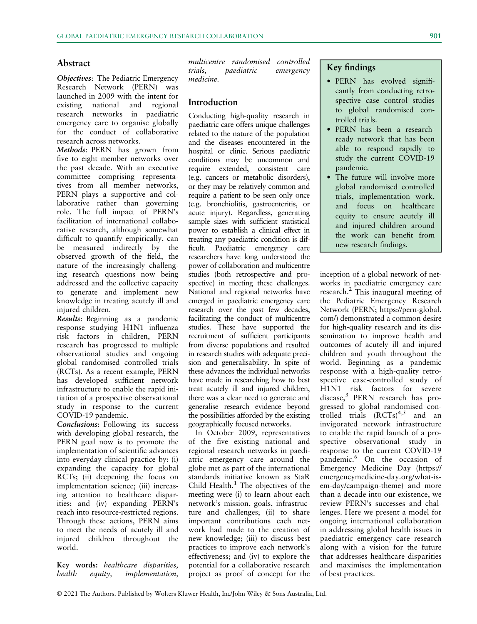### Abstract

Objectives: The Pediatric Emergency Research Network (PERN) was launched in 2009 with the intent for existing national and regional research networks in paediatric emergency care to organise globally for the conduct of collaborative research across networks.

Methods: PERN has grown from five to eight member networks over the past decade. With an executive committee comprising representatives from all member networks, PERN plays a supportive and collaborative rather than governing role. The full impact of PERN's facilitation of international collaborative research, although somewhat difficult to quantify empirically, can be measured indirectly by the observed growth of the field, the nature of the increasingly challenging research questions now being addressed and the collective capacity to generate and implement new knowledge in treating acutely ill and injured children.

Results: Beginning as a pandemic response studying H1N1 influenza risk factors in children, PERN research has progressed to multiple observational studies and ongoing global randomised controlled trials (RCTs). As a recent example, PERN has developed sufficient network infrastructure to enable the rapid initiation of a prospective observational study in response to the current COVID-19 pandemic.

Conclusions: Following its success with developing global research, the PERN goal now is to promote the implementation of scientific advances into everyday clinical practice by: (i) expanding the capacity for global RCTs; (ii) deepening the focus on implementation science; (iii) increasing attention to healthcare disparities; and (iv) expanding PERN's reach into resource-restricted regions. Through these actions, PERN aims to meet the needs of acutely ill and injured children throughout the world.

Key words: healthcare disparities, health equity, implementation, multicentre randomised controlled trials, paediatric emergency medicine.

#### Introduction

Conducting high-quality research in paediatric care offers unique challenges related to the nature of the population and the diseases encountered in the hospital or clinic. Serious paediatric conditions may be uncommon and require extended, consistent care (e.g. cancers or metabolic disorders), or they may be relatively common and require a patient to be seen only once (e.g. bronchiolitis, gastroenteritis, or acute injury). Regardless, generating sample sizes with sufficient statistical power to establish a clinical effect in treating any paediatric condition is difficult. Paediatric emergency care researchers have long understood the power of collaboration and multicentre studies (both retrospective and prospective) in meeting these challenges. National and regional networks have emerged in paediatric emergency care research over the past few decades, facilitating the conduct of multicentre studies. These have supported the recruitment of sufficient participants from diverse populations and resulted in research studies with adequate precision and generalisability. In spite of these advances the individual networks have made in researching how to best treat acutely ill and injured children, there was a clear need to generate and generalise research evidence beyond the possibilities afforded by the existing geographically focused networks.

In October 2009, representatives of the five existing national and regional research networks in paediatric emergency care around the globe met as part of the international standards initiative known as StaR Child Health. $<sup>1</sup>$  The objectives of the</sup> meeting were (i) to learn about each network's mission, goals, infrastructure and challenges; (ii) to share important contributions each network had made to the creation of new knowledge; (iii) to discuss best practices to improve each network's effectiveness; and (iv) to explore the potential for a collaborative research project as proof of concept for the

# Key findings

- PERN has evolved significantly from conducting retrospective case control studies to global randomised controlled trials.
- PERN has been a researchready network that has been able to respond rapidly to study the current COVID-19 pandemic.
- The future will involve more global randomised controlled trials, implementation work, and focus on healthcare equity to ensure acutely ill and injured children around the work can benefit from new research findings.

inception of a global network of networks in paediatric emergency care research.2 This inaugural meeting of the Pediatric Emergency Research Network (PERN; [https://pern-global.](https://pern-global.com/) [com/](https://pern-global.com/)) demonstrated a common desire for high-quality research and its dissemination to improve health and outcomes of acutely ill and injured children and youth throughout the world. Beginning as a pandemic response with a high-quality retrospective case-controlled study of H1N1 risk factors for severe disease,<sup>3</sup> PERN research has progressed to global randomised controlled trials  $(RCTs)^{4,5}$  and an invigorated network infrastructure to enable the rapid launch of a prospective observational study in response to the current COVID-19 pandemic.<sup>6</sup> On the occasion of Emergency Medicine Day ([https://](https://emergencymedicine-day.org/what-is-em-day/campaign-theme) [emergencymedicine-day.org/what-is](https://emergencymedicine-day.org/what-is-em-day/campaign-theme)[em-day/campaign-theme\)](https://emergencymedicine-day.org/what-is-em-day/campaign-theme) and more than a decade into our existence, we review PERN's successes and challenges. Here we present a model for ongoing international collaboration in addressing global health issues in paediatric emergency care research along with a vision for the future that addresses healthcare disparities and maximises the implementation of best practices.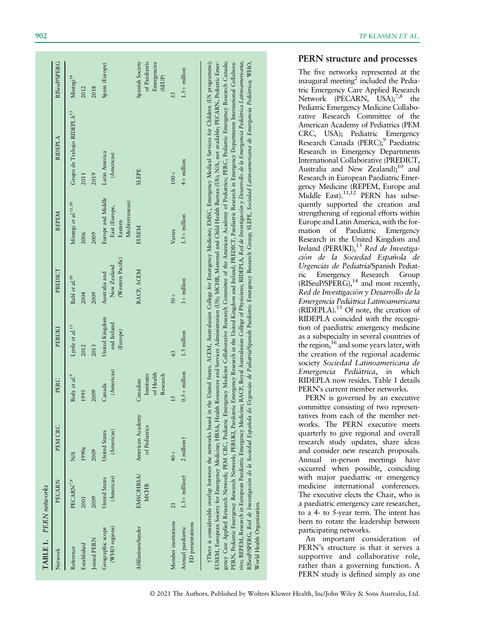| TABLE 1. PERN networks                |                             |                                                           |                                                 |                                           |                                                   |                                                                 |                                                                                                                                                                                                                                                                                                                                                                                                                                                                                                                                                                                                                                                                                                                                                                                                                                                                                                                                                                 |                                                           |
|---------------------------------------|-----------------------------|-----------------------------------------------------------|-------------------------------------------------|-------------------------------------------|---------------------------------------------------|-----------------------------------------------------------------|-----------------------------------------------------------------------------------------------------------------------------------------------------------------------------------------------------------------------------------------------------------------------------------------------------------------------------------------------------------------------------------------------------------------------------------------------------------------------------------------------------------------------------------------------------------------------------------------------------------------------------------------------------------------------------------------------------------------------------------------------------------------------------------------------------------------------------------------------------------------------------------------------------------------------------------------------------------------|-----------------------------------------------------------|
| Network                               | PECARN                      | PEM CRC                                                   | PERC                                            | PERUKI                                    | PREDICT                                           | <b>REPEM</b>                                                    | <b>RIDEPLA</b>                                                                                                                                                                                                                                                                                                                                                                                                                                                                                                                                                                                                                                                                                                                                                                                                                                                                                                                                                  | <b>RISeuP/SPERG</b>                                       |
| Reference                             | PECARN <sup>7,8</sup>       | N/A                                                       | Bialy et al. <sup>9</sup>                       | Lyttle et al. <sup>13</sup>               | Babl et al. <sup>10</sup>                         | Mintegi et al. <sup>11,58</sup>                                 | Grupo de Trabajo RIDEPLA <sup>15</sup>                                                                                                                                                                                                                                                                                                                                                                                                                                                                                                                                                                                                                                                                                                                                                                                                                                                                                                                          | Mintegi <sup>14</sup>                                     |
| Established                           | 2001                        | 1990s                                                     | 1995                                            | 2012                                      | 2004                                              | 2006                                                            | 2011                                                                                                                                                                                                                                                                                                                                                                                                                                                                                                                                                                                                                                                                                                                                                                                                                                                                                                                                                            | 2012                                                      |
| Joined PERN                           | 2009                        | 2009                                                      | 2009                                            | 2013                                      | 2009                                              | 2009                                                            | 2019                                                                                                                                                                                                                                                                                                                                                                                                                                                                                                                                                                                                                                                                                                                                                                                                                                                                                                                                                            | 2018                                                      |
| (WHO regions)<br>Geographic scope     | (Americas)<br>United States | (Americas)<br>United States                               | (Americas)<br>Canada                            | United Kingdom<br>and Ireland<br>(Europe) | (Western Pacific)<br>New Zealand<br>Australia and | Europe and Middle<br>Mediterranean)<br>East (Europe,<br>Eastern | Latin America<br>(Americas)                                                                                                                                                                                                                                                                                                                                                                                                                                                                                                                                                                                                                                                                                                                                                                                                                                                                                                                                     | Spain (Europe)                                            |
| Affiliations/funder                   | EMSC/HRSA/<br><b>MCHB</b>   | American Academy<br>of Pediatrics                         | of Health<br>Research<br>Institutes<br>Canadian |                                           | RACP, ACEM                                        | <b>EUSEM</b>                                                    | <b>SLEPE</b>                                                                                                                                                                                                                                                                                                                                                                                                                                                                                                                                                                                                                                                                                                                                                                                                                                                                                                                                                    | of Paediatric<br>Spanish Society<br>Emergencies<br>(SEUP) |
| Member institutions                   | $\overline{c}$              | $+0+$                                                     | 15                                              | 63                                        | $50+$                                             | Varies                                                          | $100 +$                                                                                                                                                                                                                                                                                                                                                                                                                                                                                                                                                                                                                                                                                                                                                                                                                                                                                                                                                         | 53                                                        |
| ED presentations<br>Annual paediatric | $1.3 +$ million $\dagger$   | $2$ million $\dagger$                                     | $0.5 +$ million                                 | 1.5 million                               | $1 +$ million                                     | $1.5 +$ million                                                 | 4+ million                                                                                                                                                                                                                                                                                                                                                                                                                                                                                                                                                                                                                                                                                                                                                                                                                                                                                                                                                      | $1.5 +$ million                                           |
|                                       |                             | †There is considerable overlap between the networks based |                                                 |                                           |                                                   |                                                                 | in the United States. ACEM, Australasian College for Emergency Medicine; EMSC, Emergency Medical Services for Children (US programme);<br>gency Care Applied Research Network; PEM CRC, Pediatric Emergency Medicine Collaborative Research Committee of the American Academy of Pediatrics; PERC, Pediatric Emergency Research Canada;<br>EUSEM, European Society for Emergency Medicine; HRSA, Health Resources and Services Administration (US); MCHB, Maternal and Child Health Bureau (US); N/A, not available; PECARN, Pediatric Emer-<br>tive; REPEM, Research in European Paediatric Emergency Medicine; RACP, Royal Australasian College of Physicians; RIDEPLA, Red de Investigación y Desarrollo de la Emergencia Pediátrica Latinoamericana;<br>PERN, Pediatric Emergency Research Network; PERUKI, Paediatric Emergency Research in the United Kingdom and Ireland; PREDICT, Paediatric Research in Emergency Departments International Collabora- |                                                           |

# PERN structure and processes

The five networks represented at the inaugural meeting<sup>2</sup> included the Pediatric Emergency Care Applied Research Network (PECARN,  $USA$ );<sup>7,8</sup> the Pediatric Emergency Medicine Collaborative Research Committee of the American Academy of Pediatrics (PEM CRC, USA); Pediatric Emergency Research Canada (PERC);<sup>9</sup> Paediatric Research in Emergency Departments International Collaborative (PREDICT, Australia and New Zealand); $^{10}$  and Research in European Paediatric Emergency Medicine (REPEM, Europe and Middle East). $11,12$  PERN has subsequently supported the creation and strengthening of regional efforts within Europe and Latin America, with the formation of Paediatric Emergency Research in the United Kingdom and Ireland (PERUKI),<sup>13</sup> Red de Investigacion de la Sociedad Española de Urgencias de Pediatría/Spanish Pediatric Emergency Research Group  $(RISeuP/SPERG)$ ,<sup>14</sup> and most recently, Red de Investigación y Desarrollo de la Emergencia Pediatrica Latinoamericana  $(RIDEPLA)$ <sup>15</sup> Of note, the creation of RIDEPLA coincided with the recognition of paediatric emergency medicine as a subspecialty in several countries of the region,<sup>16</sup> and some years later, with the creation of the regional academic society Sociedad Latinoamericana de Emergencia Pediatrica, in which RIDEPLA now resides. Table 1 details PERN's current member networks.

PERN is governed by an executive committee consisting of two representatives from each of the member networks. The PERN executive meets quarterly to give regional and overall research study updates, share ideas and consider new research proposals. Annual in-person meetings have occurred when possible, coinciding with major paediatric or emergency medicine international conferences. The executive elects the Chair, who is a paediatric emergency care researcher, to a 4- to 5-year term. The intent has been to rotate the leadership between participating networks.

An important consideration of PERN's structure is that it serves a supportive and collaborative role, rather than a governing function. A PERN study is defined simply as one

World Health Organization.

World Health Organization

RISeuP/SPERG, Red de Investigacion de la Sociedad Española de Urgencias de Pediatría/Spanish Paediatric Emergency Research Group; SLEPE, Sociedad Latinoamericana de Emergencia Pediatrica; WHO,

RISeuP/SPERG, Red de Investigación de la Sociedad Española de Urgencias de Pediatria/Spanish Paediatric Emergency Research Group; SLEPE, Sociedad Latinoamericana de Emergencia Pediátrica; WHO.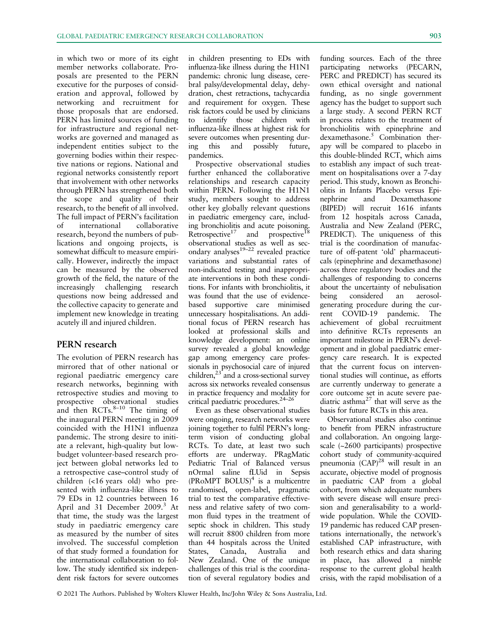in which two or more of its eight member networks collaborate. Proposals are presented to the PERN executive for the purposes of consideration and approval, followed by networking and recruitment for those proposals that are endorsed. PERN has limited sources of funding for infrastructure and regional networks are governed and managed as independent entities subject to the governing bodies within their respective nations or regions. National and regional networks consistently report that involvement with other networks through PERN has strengthened both the scope and quality of their research, to the benefit of all involved. The full impact of PERN's facilitation of international collaborative research, beyond the numbers of publications and ongoing projects, is somewhat difficult to measure empirically. However, indirectly the impact can be measured by the observed growth of the field, the nature of the increasingly challenging research questions now being addressed and the collective capacity to generate and implement new knowledge in treating acutely ill and injured children.

# PERN research

The evolution of PERN research has mirrored that of other national or regional paediatric emergency care research networks, beginning with retrospective studies and moving to prospective observational studies and then  $RCTs$ ,  $8-10$  The timing of the inaugural PERN meeting in 2009 coincided with the H1N1 influenza pandemic. The strong desire to initiate a relevant, high-quality but lowbudget volunteer-based research project between global networks led to a retrospective case–control study of children (<16 years old) who presented with influenza-like illness to 79 EDs in 12 countries between 16 April and 31 December 2009.<sup>3</sup> At that time, the study was the largest study in paediatric emergency care as measured by the number of sites involved. The successful completion of that study formed a foundation for the international collaboration to follow. The study identified six independent risk factors for severe outcomes

in children presenting to EDs with influenza-like illness during the H1N1 pandemic: chronic lung disease, cerebral palsy/developmental delay, dehydration, chest retractions, tachycardia and requirement for oxygen. These risk factors could be used by clinicians to identify those children with influenza-like illness at highest risk for severe outcomes when presenting during this and possibly future, pandemics.

Prospective observational studies further enhanced the collaborative relationships and research capacity within PERN. Following the H1N1 study, members sought to address other key globally relevant questions in paediatric emergency care, including bronchiolitis and acute poisoning. Retrospective<sup>17</sup> and prospective<sup>18</sup> observational studies as well as secondary analyses $19-22$  revealed practice variations and substantial rates of non-indicated testing and inappropriate interventions in both these conditions. For infants with bronchiolitis, it was found that the use of evidencebased supportive care minimised unnecessary hospitalisations. An additional focus of PERN research has looked at professional skills and knowledge development: an online survey revealed a global knowledge gap among emergency care professionals in psychosocial care of injured children,<sup>23</sup> and a cross-sectional survey across six networks revealed consensus in practice frequency and modality for critical paediatric procedures.24–<sup>26</sup>

Even as these observational studies were ongoing, research networks were joining together to fulfil PERN's longterm vision of conducting global RCTs. To date, at least two such efforts are underway. PRagMatic Pediatric Trial of Balanced versus nOrmal saline fLUid in Sepsis (PROMPT BOLUS)<sup>4</sup> is a multicentre randomised, open-label, pragmatic trial to test the comparative effectiveness and relative safety of two common fluid types in the treatment of septic shock in children. This study will recruit 8800 children from more than 44 hospitals across the United States, Canada, Australia and New Zealand. One of the unique challenges of this trial is the coordination of several regulatory bodies and

funding sources. Each of the three participating networks (PECARN, PERC and PREDICT) has secured its own ethical oversight and national funding, as no single government agency has the budget to support such a large study. A second PERN RCT in process relates to the treatment of bronchiolitis with epinephrine and dexamethasone.<sup>5</sup> Combination therapy will be compared to placebo in this double-blinded RCT, which aims to establish any impact of such treatment on hospitalisations over a 7-day period. This study, known as Bronchiolitis in Infants Placebo versus Epinephrine and Dexamethasone (BIPED) will recruit 1616 infants from 12 hospitals across Canada, Australia and New Zealand (PERC, PREDICT). The uniqueness of this trial is the coordination of manufacture of off-patent 'old' pharmaceuticals (epinephrine and dexamethasone) across three regulatory bodies and the challenges of responding to concerns about the uncertainty of nebulisation being considered an aerosolgenerating procedure during the current COVID-19 pandemic. The achievement of global recruitment into definitive RCTs represents an important milestone in PERN's development and in global paediatric emergency care research. It is expected that the current focus on interventional studies will continue, as efforts are currently underway to generate a core outcome set in acute severe paediatric asthma<sup>27</sup> that will serve as the basis for future RCTs in this area.

Observational studies also continue to benefit from PERN infrastructure and collaboration. An ongoing largescale (~2600 participants) prospective cohort study of community-acquired pneumonia (CAP)<sup>28</sup> will result in an accurate, objective model of prognosis in paediatric CAP from a global cohort, from which adequate numbers with severe disease will ensure precision and generalisability to a worldwide population. While the COVID-19 pandemic has reduced CAP presentations internationally, the network's established CAP infrastructure, with both research ethics and data sharing in place, has allowed a nimble response to the current global health crisis, with the rapid mobilisation of a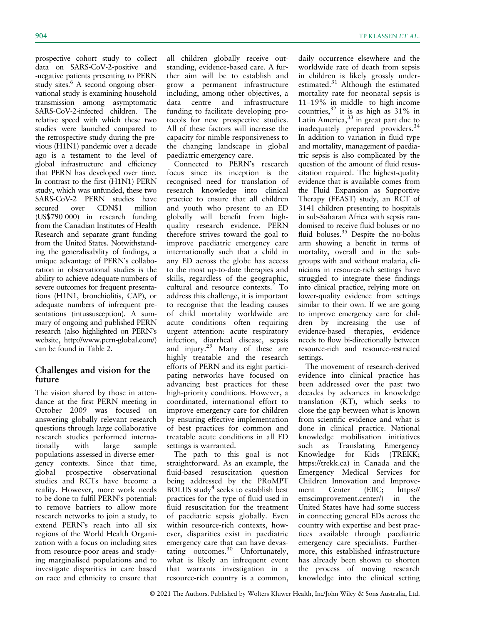prospective cohort study to collect data on SARS-CoV-2-positive and -negative patients presenting to PERN study sites.<sup>6</sup> A second ongoing observational study is examining household transmission among asymptomatic SARS-CoV-2-infected children. The relative speed with which these two studies were launched compared to the retrospective study during the previous (H1N1) pandemic over a decade ago is a testament to the level of global infrastructure and efficiency that PERN has developed over time. In contrast to the first (H1N1) PERN study, which was unfunded, these two SARS-CoV-2 PERN studies have secured over CDN\$1 million (US\$790 000) in research funding from the Canadian Institutes of Health Research and separate grant funding from the United States. Notwithstanding the generalisability of findings, a unique advantage of PERN's collaboration in observational studies is the ability to achieve adequate numbers of severe outcomes for frequent presentations (H1N1, bronchiolitis, CAP), or adequate numbers of infrequent presentations (intussusception). A summary of ongoing and published PERN research (also highlighted on PERN's website, [http://www.pern-global.com/\)](http://www.pern-global.com/) can be found in Table 2.

# Challenges and vision for the future

The vision shared by those in attendance at the first PERN meeting in October 2009 was focused on answering globally relevant research questions through large collaborative research studies performed interna-<br>tionally with large sample tionally with large sample populations assessed in diverse emergency contexts. Since that time, global prospective observational studies and RCTs have become a reality. However, more work needs to be done to fulfil PERN's potential: to remove barriers to allow more research networks to join a study, to extend PERN's reach into all six regions of the World Health Organization with a focus on including sites from resource-poor areas and studying marginalised populations and to investigate disparities in care based on race and ethnicity to ensure that

all children globally receive outstanding, evidence-based care. A further aim will be to establish and grow a permanent infrastructure including, among other objectives, a data centre and infrastructure funding to facilitate developing protocols for new prospective studies. All of these factors will increase the capacity for nimble responsiveness to the changing landscape in global paediatric emergency care.

Connected to PERN's research focus since its inception is the recognised need for translation of research knowledge into clinical practice to ensure that all children and youth who present to an ED globally will benefit from highquality research evidence. PERN therefore strives toward the goal to improve paediatric emergency care internationally such that a child in any ED across the globe has access to the most up-to-date therapies and skills, regardless of the geographic, cultural and resource contexts.<sup>2</sup> To address this challenge, it is important to recognise that the leading causes of child mortality worldwide are acute conditions often requiring urgent attention: acute respiratory infection, diarrheal disease, sepsis and injury.<sup>29</sup> Many of these are highly treatable and the research efforts of PERN and its eight participating networks have focused on advancing best practices for these high-priority conditions. However, a coordinated, international effort to improve emergency care for children by ensuring effective implementation of best practices for common and treatable acute conditions in all ED settings is warranted.

The path to this goal is not straightforward. As an example, the fluid-based resuscitation question being addressed by the PRoMPT BOLUS study<sup>4</sup> seeks to establish best practices for the type of fluid used in fluid resuscitation for the treatment of paediatric sepsis globally. Even within resource-rich contexts, however, disparities exist in paediatric emergency care that can have devastating outcomes.<sup>30</sup> Unfortunately, what is likely an infrequent event that warrants investigation in a resource-rich country is a common,

daily occurrence elsewhere and the worldwide rate of death from sepsis in children is likely grossly underestimated.<sup>31</sup> Although the estimated mortality rate for neonatal sepsis is 11–19% in middle- to high-income countries,  $32$  it is as high as  $31\%$  in Latin America,  $33$  in great part due to inadequately prepared providers.<sup>34</sup> In addition to variation in fluid type and mortality, management of paediatric sepsis is also complicated by the question of the amount of fluid resuscitation required. The highest-quality evidence that is available comes from the Fluid Expansion as Supportive Therapy (FEAST) study, an RCT of 3141 children presenting to hospitals in sub-Saharan Africa with sepsis randomised to receive fluid boluses or no fluid boluses.<sup>35</sup> Despite the no-bolus arm showing a benefit in terms of mortality, overall and in the subgroups with and without malaria, clinicians in resource-rich settings have struggled to integrate these findings into clinical practice, relying more on lower-quality evidence from settings similar to their own. If we are going to improve emergency care for children by increasing the use of evidence-based therapies, evidence needs to flow bi-directionally between resource-rich and resource-restricted settings.

The movement of research-derived evidence into clinical practice has been addressed over the past two decades by advances in knowledge translation (KT), which seeks to close the gap between what is known from scientific evidence and what is done in clinical practice. National knowledge mobilisation initiatives such as Translating Emergency Knowledge for Kids (TREKK; <https://trekk.ca>) in Canada and the Emergency Medical Services for Children Innovation and Improvement Center (EIIC; [https://](https://emscimprovement.center/) [emscimprovement.center/\)](https://emscimprovement.center/) in the United States have had some success in connecting general EDs across the country with expertise and best practices available through paediatric emergency care specialists. Furthermore, this established infrastructure has already been shown to shorten the process of moving research knowledge into the clinical setting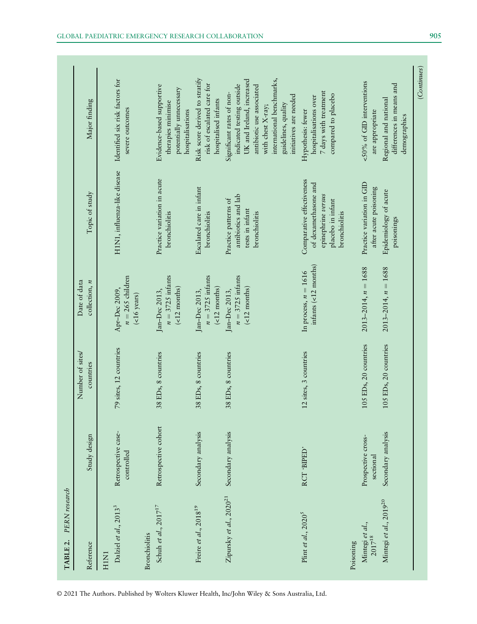| PERN research<br>TABLE 2.                              |                                   |                               |                                                        |                                                                                                               |                                                                                                                                                                                                                     |
|--------------------------------------------------------|-----------------------------------|-------------------------------|--------------------------------------------------------|---------------------------------------------------------------------------------------------------------------|---------------------------------------------------------------------------------------------------------------------------------------------------------------------------------------------------------------------|
| Reference                                              | Study design                      | Number of sites/<br>countries | Date of data<br>collection, $n$                        | Topic of study                                                                                                | Major finding                                                                                                                                                                                                       |
| Dalziel et al., 20133<br>H <sub>1</sub> N <sub>1</sub> | Retrospective case-<br>controlled | 79 sites, 12 countries        | $n = 265$ children<br>Apr-Dec 2009,<br>$($ <16 years)  | H1N1, influenza-like disease                                                                                  | Identified six risk factors for<br>severe outcomes                                                                                                                                                                  |
| Schuh et al., $2017^{17}$<br><b>Bronchiolitis</b>      | Retrospective cohort              | 38 EDs, 8 countries           | $n = 3725$ infants<br>$($ <12 months)<br>Jan-Dec 2013, | Practice variation in acute<br>bronchiolitis                                                                  | Evidence-based supportive<br>potentially unnecessary<br>therapies minimise<br>hospitalisations                                                                                                                      |
| Freire et al., 2018 <sup>19</sup>                      | Secondary analysis                | 38 EDs, 8 countries           | $n = 3725$ infants<br>$($ <12 months)<br>Jan-Dec 2013, | Escalated care in infant<br>bronchiolitis                                                                     | Risk score derived to stratify<br>risk of escalated care for<br>hospitalised infants                                                                                                                                |
| Zipursky et al., 2020 <sup>21</sup>                    | Secondary analysis                | 38 EDs, 8 countries           | $n = 3725$ infants<br>$($ <12 months)<br>Jan-Dec 2013, | antibiotics and lab<br>Practice patterns of<br>tests in infant<br>bronchiolitis                               | international benchmarks,<br>UK and Ireland, increased<br>indicated testing outside<br>antibiotic use associated<br>Significant rates of non-<br>initiatives are needed<br>guidelines, quality<br>with chest X-ray; |
| Plint et al., $2020^5$                                 | RCT 'BIPED'                       | 12 sites, 3 countries         | $infants$ (<12 months)<br>In process, $n = 1616$       | Comparative effectiveness<br>of dexamethasone and<br>epinephrine versus<br>placebo in infant<br>bronchiolitis | 7 days with treatment<br>compared to placebo<br>hospitalisations over<br>Hypothesis: fewer                                                                                                                          |
| Mintegi et al.,<br>$2017^{18}$<br>Poisoning            | Prospective cross-<br>sectional   | 105 EDs, 20 countries         | $2013 - 2014$ , $n = 1688$                             | Practice variation in GID<br>after acute poisoning                                                            | <50% of GID interventions<br>are appropriate                                                                                                                                                                        |
| Mintegi et al., 2019 <sup>20</sup>                     | Secondary analysis                | 105 EDs, 20 countries         | $2013 - 2014$ , $n = 1688$                             | Epidemiology of acute<br>poisonings                                                                           | differences in means and<br>Regional and national<br>demographics                                                                                                                                                   |
|                                                        |                                   |                               |                                                        |                                                                                                               | (Continuous)                                                                                                                                                                                                        |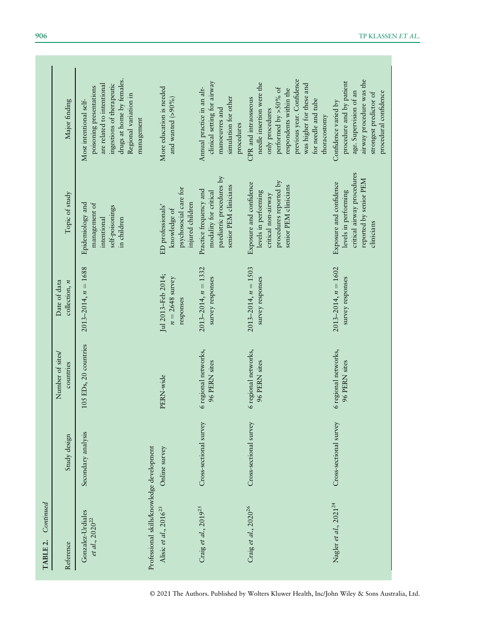| Reference                                                               | Study design           | Number of sites/<br>countries         | Date of data<br>collection, $n$                      | Topic of study                                                                                                            | Major finding                                                                                                                                                                                                             |
|-------------------------------------------------------------------------|------------------------|---------------------------------------|------------------------------------------------------|---------------------------------------------------------------------------------------------------------------------------|---------------------------------------------------------------------------------------------------------------------------------------------------------------------------------------------------------------------------|
| Gonzalez-Urdiales<br>et al., $2020^{22}$                                | Secondary analysis     | 105 EDs, 20 countries                 | $2013 - 2014$ , $n = 1688$                           | Epidemiology and<br>management of<br>self-poisonings<br>intentional<br>in children                                        | drugs at home by females.<br>are related to intentional<br>ingestions of therapeutic<br>poisoning presentations<br>Regional variation in<br>Most intentional self-<br>management                                          |
| Professional skills/knowledge development<br>Alisic et al., $2016^{23}$ | Online survey          | PERN-wide                             | Jul 2013-Feb 2014;<br>$n = 2648$ survey<br>responses | psychosocial care for<br>injured children<br>ED professionals'<br>knowledge of                                            | More education is needed<br>and wanted $(>90\%)$                                                                                                                                                                          |
| Craig et al., 2019 <sup>25</sup>                                        | Cross-sectional survey | 6 regional networks,<br>96 PERN sites | $2013 - 2014$ , $n = 1332$<br>survey responses       | paediatric procedures by<br>senior PEM clinicians<br>Practice frequency and<br>modality for critical                      | clinical setting for airway<br>Annual practice in an alt-<br>simulation for other<br>manoeuvres and<br>procedures                                                                                                         |
| Craig et al., 2020 <sup>26</sup>                                        | Cross-sectional survey | 6 regional networks,<br>96 PERN sites | $2013 - 2014$ , $n = 1503$<br>survey responses       | procedures reported by<br>Exposure and confidence<br>senior PEM clinicians<br>levels in performing<br>critical non-airway | previous year. Confidence<br>needle insertion were the<br>was higher for these and<br>performed by $>50\%$ of<br>respondents within the<br>CPR and intraosseous<br>for needle and tube<br>only procedures<br>thoracostomy |
| Nagler et al., 2021 <sup>24</sup>                                       | Cross-sectional survey | 6 regional networks,<br>96 PERN sites | $2013 - 2014$ , $n = 1602$<br>survey responses       | critical airway procedures<br>reported by senior PEM<br>Exposure and confidence<br>levels in performing<br>clinicians     | airway procedure was the<br>procedure and by patient<br>age. Supervision of an<br>procedural confidence<br>strongest predictor of<br>Confidence varied by                                                                 |

© 2021 The Authors. Published by Wolters Kluwer Health, Inc/John Wiley & Sons Australia, Ltd.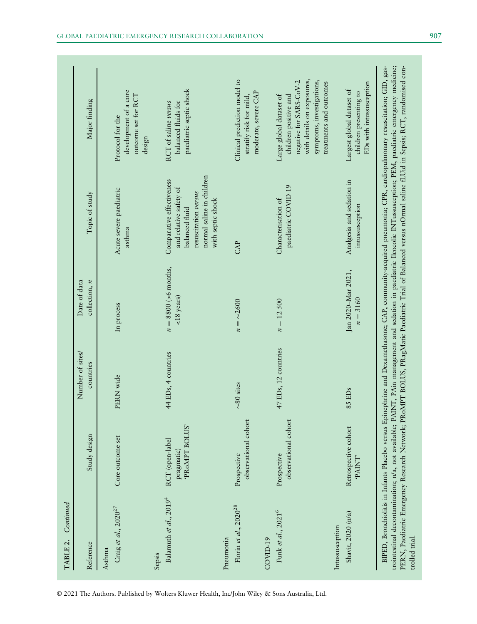| Continued<br>TABLE 2.                        |                                                |                               |                                         |                                                                                                                                                 |                                                                                                                                                                                                                                                                                                                                                                                                                                                                                                       |
|----------------------------------------------|------------------------------------------------|-------------------------------|-----------------------------------------|-------------------------------------------------------------------------------------------------------------------------------------------------|-------------------------------------------------------------------------------------------------------------------------------------------------------------------------------------------------------------------------------------------------------------------------------------------------------------------------------------------------------------------------------------------------------------------------------------------------------------------------------------------------------|
| Reference                                    | Study design                                   | Number of sites/<br>countries | $\text{collection}, n$<br>Date of data  | Topic of study                                                                                                                                  | Major finding                                                                                                                                                                                                                                                                                                                                                                                                                                                                                         |
| Craig et al., 2020 <sup>27</sup><br>Asthma   | Core outcome set                               | PERN-wide                     | In process                              | Acute severe paediatric<br>asthma                                                                                                               | development of a core<br>outcome set for RCT<br>Protocol for the<br>design                                                                                                                                                                                                                                                                                                                                                                                                                            |
| Balamuth et al., 2019 <sup>4</sup><br>Sepsis | PROMPT BOLUS'<br>RCT (open-label<br>pragmatic) | 44 EDs, 4 countries           | $n = 8800$ (>6 months,<br>$<$ 18 years) | normal saline in children<br>Comparative effectiveness<br>and relative safety of<br>resuscitation versus<br>with septic shock<br>balanced fluid | paediatric septic shock<br>balanced fluids for<br>RCT of saline versus                                                                                                                                                                                                                                                                                                                                                                                                                                |
| Florin et al., $2020^{28}$<br>Pneumonia      | observational cohort<br>Prospective            | $\sim$ 80 sites               | $n = \sim 2600$                         | CAP                                                                                                                                             | Clinical prediction model to<br>moderate, severe CAP<br>stratify risk for mild,                                                                                                                                                                                                                                                                                                                                                                                                                       |
| Funk et al., 2021 <sup>6</sup><br>COVID-19   | observational cohort<br>Prospective            | 47 EDs, 12 countries          | $n = 12500$                             | paediatric COVID-19<br>Characterisation of                                                                                                      | with details on exposures,<br>symptoms, investigations,<br>negative for SARS-CoV-2<br>children positive and<br>Large global dataset of                                                                                                                                                                                                                                                                                                                                                                |
| Shavit, 2020 (n/a)<br>Intussusception        | Retrospective cohort<br>PAINT <sup>.</sup>     | 85 EDs                        | Jan 2020-Mar 2021,<br>$n = 3160$        | Analgesia and sedation in<br>intussusception                                                                                                    | treatments and outcomes<br>EDs with intussusception<br>Largest global dataset of<br>children presenting to                                                                                                                                                                                                                                                                                                                                                                                            |
| trolled trial.                               |                                                |                               |                                         |                                                                                                                                                 | BIPED, Bronchiolitis in Infants Placebo versus Epinephrine and Dexamethasone; CAP, community-acquired pneumonia; CPR, cardiopulmonary resuscitation; GID, gas-<br>trointestinal decontamination; n/a, not available; PAINT, PAin management and sedation in paediatric Ileocolic INTussusception; PEM, paediatric emergency medicine;<br>PERN, Paediatric Emergency Research Network; PRoMPT BOLUS, PRagMatic Paediatric Trial of Balanced versus nOrmal saline fLUid in Sepsis; RCT, randomised con- |

© 2021 The Authors. Published by Wolters Kluwer Health, Inc/John Wiley & Sons Australia, Ltd.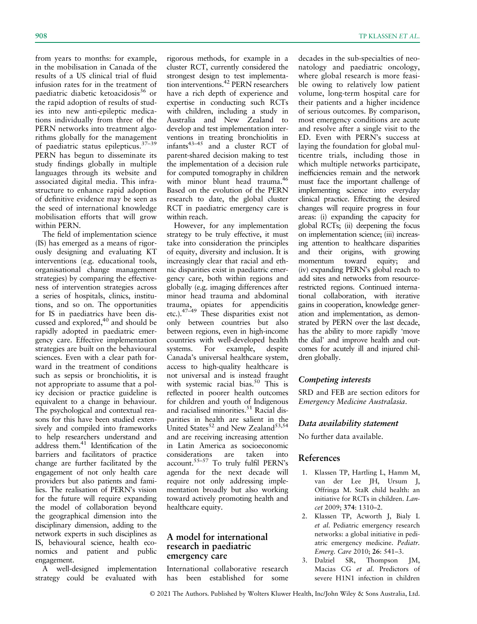from years to months: for example, in the mobilisation in Canada of the results of a US clinical trial of fluid infusion rates for in the treatment of paediatric diabetic ketoacidosis<sup>36</sup> or the rapid adoption of results of studies into new anti-epileptic medications individually from three of the PERN networks into treatment algorithms globally for the management of paediatric status epilepticus.37–<sup>39</sup> PERN has begun to disseminate its study findings globally in multiple languages through its website and associated digital media. This infrastructure to enhance rapid adoption of definitive evidence may be seen as the seed of international knowledge mobilisation efforts that will grow within PERN.

The field of implementation science (IS) has emerged as a means of rigorously designing and evaluating KT interventions (e.g. educational tools, organisational change management strategies) by comparing the effectiveness of intervention strategies across a series of hospitals, clinics, institutions, and so on. The opportunities for IS in paediatrics have been discussed and explored, $40$  and should be rapidly adopted in paediatric emergency care. Effective implementation strategies are built on the behavioural sciences. Even with a clear path forward in the treatment of conditions such as sepsis or bronchiolitis, it is not appropriate to assume that a policy decision or practice guideline is equivalent to a change in behaviour. The psychological and contextual reasons for this have been studied extensively and compiled into frameworks to help researchers understand and address them.<sup>41</sup> Identification of the barriers and facilitators of practice change are further facilitated by the engagement of not only health care providers but also patients and families. The realisation of PERN's vision for the future will require expanding the model of collaboration beyond the geographical dimension into the disciplinary dimension, adding to the network experts in such disciplines as IS, behavioural science, health economics and patient and public engagement.

A well-designed implementation strategy could be evaluated with rigorous methods, for example in a cluster RCT, currently considered the strongest design to test implementation interventions.<sup>42</sup> PERN researchers have a rich depth of experience and expertise in conducting such RCTs with children, including a study in Australia and New Zealand to develop and test implementation interventions in treating bronchiolitis in ventions in treating experience of<br>infants<sup>43–45</sup> and a cluster RCT of parent-shared decision making to test the implementation of a decision rule for computed tomography in children with minor blunt head trauma.<sup>46</sup> Based on the evolution of the PERN research to date, the global cluster RCT in paediatric emergency care is within reach.

However, for any implementation strategy to be truly effective, it must take into consideration the principles of equity, diversity and inclusion. It is increasingly clear that racial and ethnic disparities exist in paediatric emergency care, both within regions and globally (e.g. imaging differences after minor head trauma and abdominal trauma, opiates for appendicitis etc.).47–<sup>49</sup> These disparities exist not only between countries but also between regions, even in high-income countries with well-developed health systems. For example, despite Canada's universal healthcare system, access to high-quality healthcare is not universal and is instead fraught with systemic racial bias.<sup>50</sup> This is reflected in poorer health outcomes for children and youth of Indigenous and racialised minorities.<sup>51</sup> Racial disparities in health are salient in the United States<sup>52</sup> and New Zealand<sup>53,54</sup> and are receiving increasing attention in Latin America as socioeconomic considerations are taken into account.55–<sup>57</sup> To truly fulfil PERN's agenda for the next decade will require not only addressing implementation broadly but also working toward actively promoting health and healthcare equity.

#### A model for international research in paediatric emergency care

International collaborative research has been established for some

decades in the sub-specialties of neonatology and paediatric oncology, where global research is more feasible owing to relatively low patient volume, long-term hospital care for their patients and a higher incidence of serious outcomes. By comparison, most emergency conditions are acute and resolve after a single visit to the ED. Even with PERN's success at laying the foundation for global multicentre trials, including those in which multiple networks participate, inefficiencies remain and the network must face the important challenge of implementing science into everyday clinical practice. Effecting the desired changes will require progress in four areas: (i) expanding the capacity for global RCTs; (ii) deepening the focus on implementation science; (iii) increasing attention to healthcare disparities and their origins, with growing momentum toward equity; and (iv) expanding PERN's global reach to add sites and networks from resourcerestricted regions. Continued international collaboration, with iterative gains in cooperation, knowledge generation and implementation, as demonstrated by PERN over the last decade, has the ability to more rapidly 'move the dial' and improve health and outcomes for acutely ill and injured children globally.

#### Competing interests

SRD and FEB are section editors for Emergency Medicine Australasia.

#### Data availability statement

No further data available.

### References

- 1. Klassen TP, Hartling L, Hamm M, van der Lee JH, Ursum J, Offringa M. StaR child health: an initiative for RCTs in children. Lancet 2009; 374: 1310–2.
- 2. Klassen TP, Acworth J, Bialy L et al. Pediatric emergency research networks: a global initiative in pediatric emergency medicine. Pediatr. Emerg. Care 2010; 26: 541–3.
- 3. Dalziel SR, Thompson JM, Macias CG et al. Predictors of severe H1N1 infection in children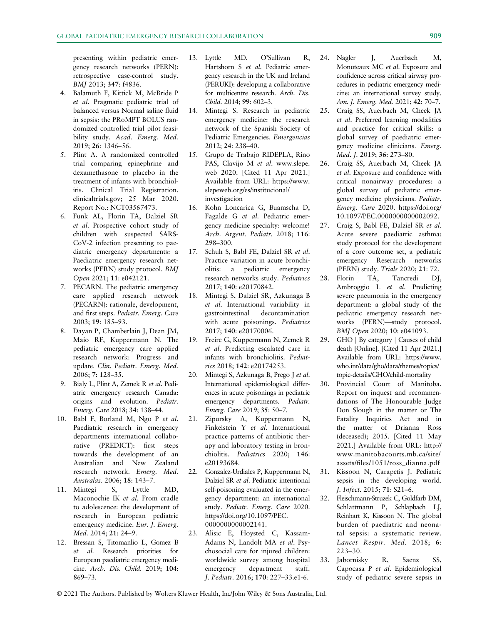presenting within pediatric emergency research networks (PERN): retrospective case-control study. BMJ 2013; 347: f4836.

- 4. Balamuth F, Kittick M, McBride P et al. Pragmatic pediatric trial of balanced versus Normal saline fluid in sepsis: the PRoMPT BOLUS randomized controlled trial pilot feasibility study. Acad. Emerg. Med. 2019; 26: 1346–56.
- 5. Plint A. A randomized controlled trial comparing epinephrine and dexamethasone to placebo in the treatment of infants with bronchiolitis. Clinical Trial Registration. [clinicaltrials.gov](http://clinicaltrials.gov); 25 Mar 2020. Report No.: NCT03567473.
- 6. Funk AL, Florin TA, Dalziel SR et al. Prospective cohort study of children with suspected SARS-CoV-2 infection presenting to paediatric emergency departments: a Paediatric emergency research networks (PERN) study protocol. BMJ Open 2021; 11: e042121.
- 7. PECARN. The pediatric emergency care applied research network (PECARN): rationale, development, and first steps. Pediatr. Emerg. Care 2003; 19: 185–93.
- 8. Dayan P, Chamberlain J, Dean JM, Maio RF, Kuppermann N. The pediatric emergency care applied research network: Progress and update. Clin. Pediatr. Emerg. Med. 2006; 7: 128–35.
- 9. Bialy L, Plint A, Zemek R et al. Pediatric emergency research Canada: origins and evolution. Pediatr. Emerg. Care 2018; 34: 138–44.
- 10. Babl F, Borland M, Ngo P et al. Paediatric research in emergency departments international collaborative (PREDICT): first steps towards the development of an Australian and New Zealand research network. Emerg. Med. Australas. 2006; 18: 143–7.
- 11. Mintegi S, Lyttle MD, Maconochie IK et al. From cradle to adolescence: the development of research in European pediatric emergency medicine. Eur. J. Emerg. Med. 2014; 21: 24–9.
- 12. Bressan S, Titomanlio L, Gomez B et al. Research priorities for European paediatric emergency medicine. Arch. Dis. Child. 2019; 104: 869–73.
- 13. Lyttle MD, O'Sullivan R, Hartshorn S et al. Pediatric emergency research in the UK and Ireland (PERUKI): developing a collaborative for multicentre research. Arch. Dis. Child. 2014; 99: 602–3.
- 14. Mintegi S. Research in pediatric emergency medicine: the research network of the Spanish Society of Pediatric Emergencies. Emergencias 2012; 24: 238–40.
- 15. Grupo de Trabajo RIDEPLA, Rino PAS, Clavijo M et al. [www.slepe.](http://www.slepe.web) [web](http://www.slepe.web) 2020. [Cited 11 Apr 2021.] Available from URL: [https://www.](https://www.slepeweb.org/es/institucional/investigacion) [slepeweb.org/es/institucional/](https://www.slepeweb.org/es/institucional/investigacion) [investigacion](https://www.slepeweb.org/es/institucional/investigacion)
- 16. Kohn Loncarica G, Buamscha D, Fagalde G et al. Pediatric emergency medicine specialty: welcome! Arch. Argent. Pediatr. 2018; 116: 298–300.
- 17. Schuh S, Babl FE, Dalziel SR et al. Practice variation in acute bronchiolitis: a pediatric emergency research networks study. Pediatrics 2017; 140: e20170842.
- 18. Mintegi S, Dalziel SR, Azkunaga B et al. International variability in gastrointestinal decontamination with acute poisonings. Pediatrics 2017; 140: e20170006.
- 19. Freire G, Kuppermann N, Zemek R et al. Predicting escalated care in infants with bronchiolitis. Pediatrics 2018; 142: e20174253.
- 20. Mintegi S, Azkunaga B, Prego J et al. International epidemiological differences in acute poisonings in pediatric emergency departments. Pediatr. Emerg. Care 2019; 35: 50–7.
- 21. Zipursky A, Kuppermann N, Finkelstein Y et al. International practice patterns of antibiotic therapy and laboratory testing in bronchiolitis. Pediatrics 2020; 146: e20193684.
- 22. Gonzalez-Urdiales P, Kuppermann N, Dalziel SR et al. Pediatric intentional self-poisoning evaluated in the emergency department: an international study. Pediatr. Emerg. Care 2020. [https://doi.org/10.1097/PEC.](https://doi.org/10.1097/PEC.0000000000002141) [0000000000002141.](https://doi.org/10.1097/PEC.0000000000002141)
- 23. Alisic E, Hoysted C, Kassam-Adams N, Landolt MA et al. Psychosocial care for injured children: worldwide survey among hospital emergency department staff. J. Pediatr. 2016; 170: 227–33.e1-6.
- 24. Nagler J, Auerbach M, Monuteaux MC et al. Exposure and confidence across critical airway procedures in pediatric emergency medicine: an international survey study. Am. J. Emerg. Med. 2021; 42: 70–7.
- 25. Craig SS, Auerbach M, Cheek JA et al. Preferred learning modalities and practice for critical skills: a global survey of paediatric emergency medicine clinicians. Emerg. Med. J. 2019; 36: 273–80.
- 26. Craig SS, Auerbach M, Cheek JA et al. Exposure and confidence with critical nonairway procedures: a global survey of pediatric emergency medicine physicians. Pediatr. Emerg. Care 2020. [https://doi.org/](https://doi.org/10.1097/PEC.0000000000002092) [10.1097/PEC.0000000000002092](https://doi.org/10.1097/PEC.0000000000002092).
- 27. Craig S, Babl FE, Dalziel SR et al. Acute severe paediatric asthma: study protocol for the development of a core outcome set, a pediatric emergency Reserarch networks (PERN) study. Trials 2020; 21: 72.
- 28. Florin TA, Tancredi DJ, Ambroggio L et al. Predicting severe pneumonia in the emergency department: a global study of the pediatric emergency research networks (PERN)—study protocol. BMJ Open 2020; 10: e041093.
- 29. GHO | By category | Causes of child death [Online]. [Cited 11 Apr 2021.] Available from URL: [https://www.](https://www.who.int/data/gho/data/themes/topics/topic-details/GHO/child-mortality) [who.int/data/gho/data/themes/topics/](https://www.who.int/data/gho/data/themes/topics/topic-details/GHO/child-mortality) [topic-details/GHO/child-mortality](https://www.who.int/data/gho/data/themes/topics/topic-details/GHO/child-mortality)
- 30. Provincial Court of Manitoba. Report on inquest and recommendations of The Honourable Judge Don Slough in the matter or The Fatality Inquiries Act and in the matter of Drianna Ross (deceased); 2015. [Cited 11 May 2021.] Available from URL: [http://](http://www.manitobacourts.mb.ca/site/assets/files/1051/ross_dianna.pdf) [www.manitobacourts.mb.ca/site/](http://www.manitobacourts.mb.ca/site/assets/files/1051/ross_dianna.pdf) assets/fi[les/1051/ross\\_dianna.pdf](http://www.manitobacourts.mb.ca/site/assets/files/1051/ross_dianna.pdf)
- 31. Kissoon N, Carapetis J. Pediatric sepsis in the developing world. J. Infect. 2015; 71: S21–6.
- 32. Fleischmann-Struzek C, Goldfarb DM, Schlattmann P, Schlapbach LJ, Reinhart K, Kissoon N. The global burden of paediatric and neonatal sepsis: a systematic review. Lancet Respir. Med. 2018; 6: 223–30.
- 33. Jabornisky R, Saenz SS, Capocasa P et al. Epidemiological study of pediatric severe sepsis in